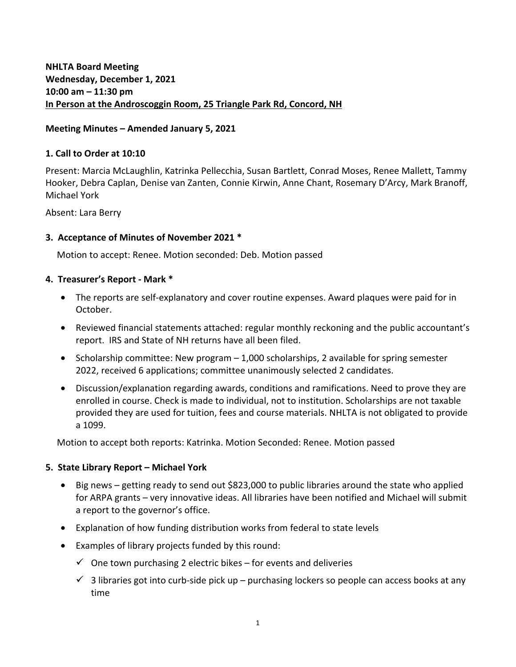**NHLTA Board Meeting Wednesday, December 1, 2021 10:00 am – 11:30 pm In Person at the Androscoggin Room, 25 Triangle Park Rd, Concord, NH**

### **Meeting Minutes – Amended January 5, 2021**

### **1. Call to Order at 10:10**

Present: Marcia McLaughlin, Katrinka Pellecchia, Susan Bartlett, Conrad Moses, Renee Mallett, Tammy Hooker, Debra Caplan, Denise van Zanten, Connie Kirwin, Anne Chant, Rosemary D'Arcy, Mark Branoff, Michael York

Absent: Lara Berry

### **3. Acceptance of Minutes of November 2021 \***

Motion to accept: Renee. Motion seconded: Deb. Motion passed

#### **4. Treasurer's Report - Mark \***

- The reports are self-explanatory and cover routine expenses. Award plaques were paid for in October.
- Reviewed financial statements attached: regular monthly reckoning and the public accountant's report. IRS and State of NH returns have all been filed.
- $\bullet$  Scholarship committee: New program  $-1,000$  scholarships, 2 available for spring semester 2022, received 6 applications; committee unanimously selected 2 candidates.
- Discussion/explanation regarding awards, conditions and ramifications. Need to prove they are enrolled in course. Check is made to individual, not to institution. Scholarships are not taxable provided they are used for tuition, fees and course materials. NHLTA is not obligated to provide a 1099.

Motion to accept both reports: Katrinka. Motion Seconded: Renee. Motion passed

#### **5. State Library Report – Michael York**

- Big news getting ready to send out \$823,000 to public libraries around the state who applied for ARPA grants – very innovative ideas. All libraries have been notified and Michael will submit a report to the governor's office.
- Explanation of how funding distribution works from federal to state levels
- Examples of library projects funded by this round:
	- $\checkmark$  One town purchasing 2 electric bikes for events and deliveries
	- $\checkmark$  3 libraries got into curb-side pick up purchasing lockers so people can access books at any time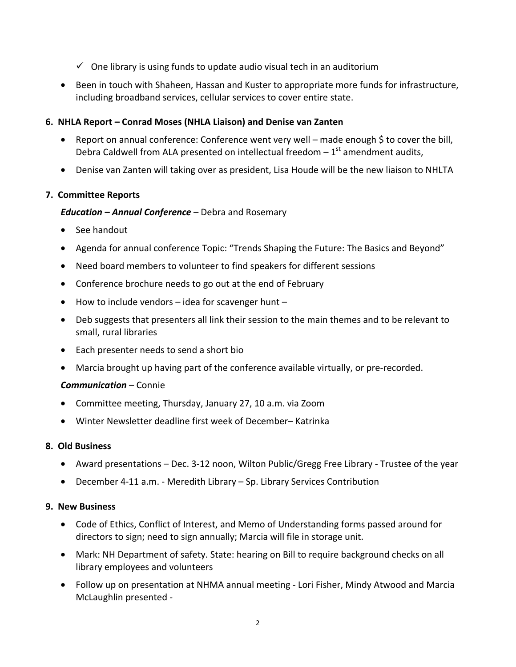- $\checkmark$  One library is using funds to update audio visual tech in an auditorium
- Been in touch with Shaheen, Hassan and Kuster to appropriate more funds for infrastructure, including broadband services, cellular services to cover entire state.

## **6. NHLA Report – Conrad Moses (NHLA Liaison) and Denise van Zanten**

- Report on annual conference: Conference went very well made enough \$ to cover the bill. Debra Caldwell from ALA presented on intellectual freedom  $-1<sup>st</sup>$  amendment audits,
- Denise van Zanten will taking over as president, Lisa Houde will be the new liaison to NHLTA

# **7. Committee Reports**

## *Education – Annual Conference* – Debra and Rosemary

- See handout
- Agenda for annual conference Topic: "Trends Shaping the Future: The Basics and Beyond"
- Need board members to volunteer to find speakers for different sessions
- Conference brochure needs to go out at the end of February
- $\bullet$  How to include vendors idea for scavenger hunt –
- Deb suggests that presenters all link their session to the main themes and to be relevant to small, rural libraries
- Each presenter needs to send a short bio
- Marcia brought up having part of the conference available virtually, or pre-recorded.

## *Communication* – Connie

- Committee meeting, Thursday, January 27, 10 a.m. via Zoom
- Winter Newsletter deadline first week of December– Katrinka

## **8. Old Business**

- Award presentations Dec. 3-12 noon, Wilton Public/Gregg Free Library Trustee of the year
- December 4-11 a.m. Meredith Library Sp. Library Services Contribution

## **9. New Business**

- Code of Ethics, Conflict of Interest, and Memo of Understanding forms passed around for directors to sign; need to sign annually; Marcia will file in storage unit.
- Mark: NH Department of safety. State: hearing on Bill to require background checks on all library employees and volunteers
- Follow up on presentation at NHMA annual meeting Lori Fisher, Mindy Atwood and Marcia McLaughlin presented -